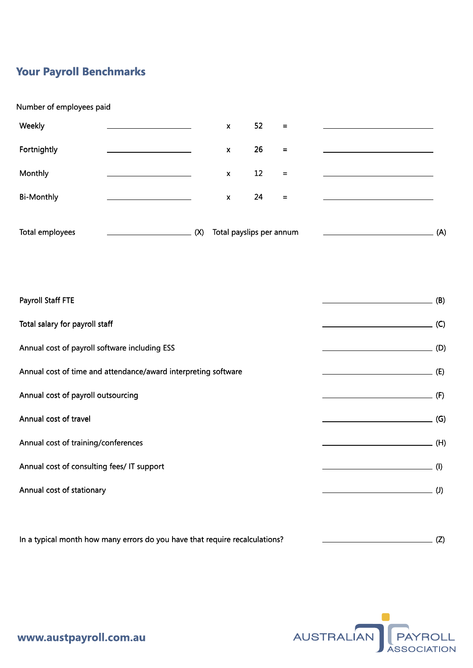## **Your Payroll Benchmarks**

## Number of employees paid

| Weekly            |     | $\pmb{\times}$           | 52                | $=$               |     |
|-------------------|-----|--------------------------|-------------------|-------------------|-----|
| Fortnightly       |     | $\pmb{\chi}$             | 26                | $=$               |     |
| Monthly           |     | X                        | $12 \overline{ }$ | $=$               |     |
| <b>Bi-Monthly</b> |     | $\pmb{\times}$           | 24                | $\qquad \qquad =$ |     |
| Total employees   | (X) | Total payslips per annum |                   |                   | (A) |

| Payroll Staff FTE                                              | (B)                                                       |
|----------------------------------------------------------------|-----------------------------------------------------------|
| Total salary for payroll staff                                 | $\overline{\phantom{a}}$ (C)                              |
| Annual cost of payroll software including ESS                  | $\overline{\phantom{a}}$ (D)                              |
| Annual cost of time and attendance/award interpreting software | $\overline{\phantom{a}}$ (E)                              |
| Annual cost of payroll outsourcing                             | (F)                                                       |
| Annual cost of travel                                          | (G)<br><u> 1989 - Johann Barn, fransk politik (</u>       |
| Annual cost of training/conferences                            |                                                           |
| Annual cost of consulting fees/ IT support                     | (1)<br><u> 1989 - Johann Barbara, martxa alemani</u> ar a |
| Annual cost of stationary                                      | $\overline{\phantom{a}}$ (J)                              |
|                                                                |                                                           |
|                                                                |                                                           |

In a typical month how many errors do you have that require recalculations? [20]  $\qquad \qquad \qquad \qquad \qquad$  (Z)



www.austpayroll.com.au